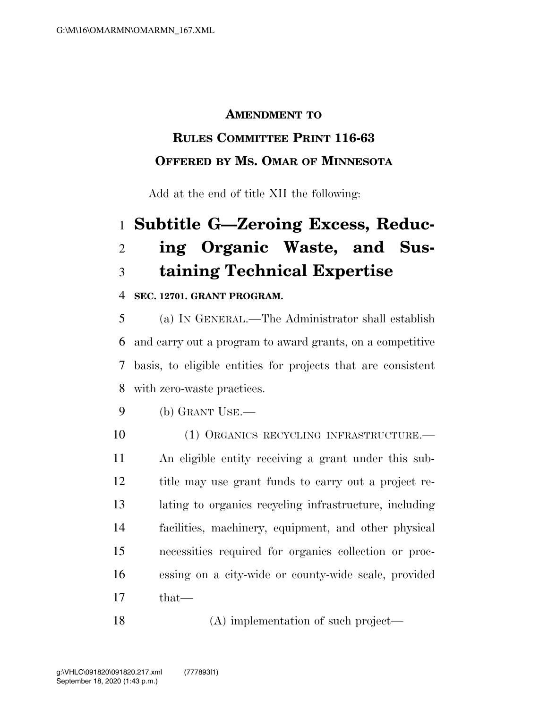## **AMENDMENT TO**

# **RULES COMMITTEE PRINT 116-63 OFFERED BY MS. OMAR OF MINNESOTA**

Add at the end of title XII the following:

# **Subtitle G—Zeroing Excess, Reduc- ing Organic Waste, and Sus-taining Technical Expertise**

## **SEC. 12701. GRANT PROGRAM.**

 (a) IN GENERAL.—The Administrator shall establish and carry out a program to award grants, on a competitive basis, to eligible entities for projects that are consistent with zero-waste practices.

- (b) GRANT USE.—
- 10 (1) ORGANICS RECYCLING INFRASTRUCTURE.— An eligible entity receiving a grant under this sub- title may use grant funds to carry out a project re- lating to organics recycling infrastructure, including facilities, machinery, equipment, and other physical necessities required for organics collection or proc- essing on a city-wide or county-wide scale, provided that—

18 (A) implementation of such project—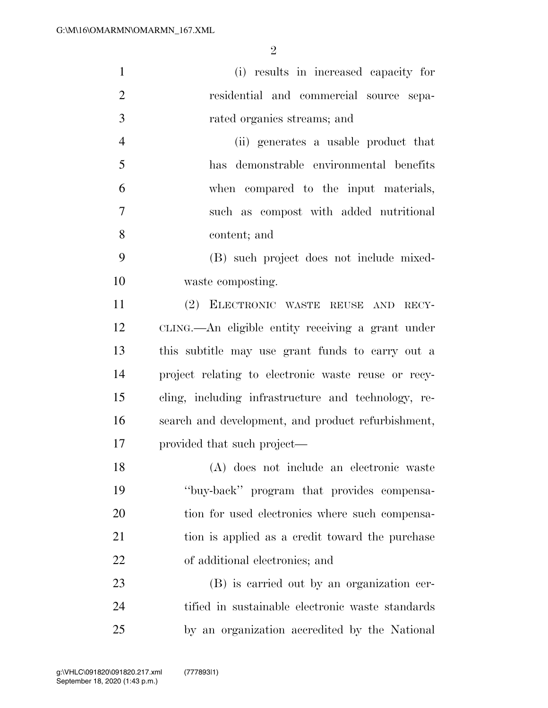| $\mathbf{1}$   | (i) results in increased capacity for               |
|----------------|-----------------------------------------------------|
| $\overline{2}$ | residential and commercial source sepa-             |
| 3              | rated organics streams; and                         |
| $\overline{4}$ | (ii) generates a usable product that                |
| 5              | has demonstrable environmental benefits             |
| 6              | when compared to the input materials,               |
| 7              | such as compost with added nutritional              |
| 8              | content; and                                        |
| 9              | (B) such project does not include mixed-            |
| 10             | waste composting.                                   |
| 11             | (2) ELECTRONIC WASTE REUSE AND RECY-                |
| 12             | CLING.—An eligible entity receiving a grant under   |
| 13             | this subtitle may use grant funds to carry out a    |
| 14             | project relating to electronic waste reuse or recy- |
| 15             | cling, including infrastructure and technology, re- |
| 16             | search and development, and product refurbishment,  |
| 17             | provided that such project—                         |
| 18             | (A) does not include an electronic waste            |
| 19             | "buy-back" program that provides compensa-          |
| 20             | tion for used electronics where such compensa-      |
| 21             | tion is applied as a credit toward the purchase     |
| <u>22</u>      | of additional electronics; and                      |
| 23             | (B) is carried out by an organization cer-          |
| 24             | tified in sustainable electronic waste standards    |
| 25             | by an organization accredited by the National       |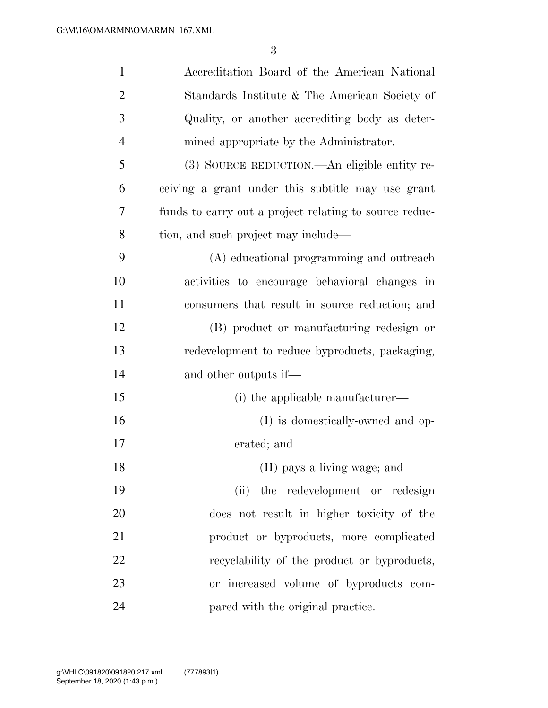| $\mathbf{1}$   | Accreditation Board of the American National           |
|----------------|--------------------------------------------------------|
| $\overline{2}$ | Standards Institute & The American Society of          |
| 3              | Quality, or another accrediting body as deter-         |
| $\overline{4}$ | mined appropriate by the Administrator.                |
| 5              | (3) SOURCE REDUCTION.—An eligible entity re-           |
| 6              | ceiving a grant under this subtitle may use grant      |
| 7              | funds to carry out a project relating to source reduc- |
| 8              | tion, and such project may include—                    |
| 9              | (A) educational programming and outreach               |
| 10             | activities to encourage behavioral changes in          |
| 11             | consumers that result in source reduction; and         |
| 12             | (B) product or manufacturing redesign or               |
| 13             | redevelopment to reduce byproducts, packaging,         |
| 14             | and other outputs if—                                  |
| 15             | (i) the applicable manufacturer—                       |
| 16             | (I) is domestically-owned and op-                      |
| 17             | erated; and                                            |
| 18             | (II) pays a living wage; and                           |
| 19             | (ii) the redevelopment or redesign                     |
| 20             | does not result in higher toxicity of the              |
| 21             | product or byproducts, more complicated                |
| 22             | recyclability of the product or byproducts,            |
| 23             | or increased volume of byproducts com-                 |
| 24             | pared with the original practice.                      |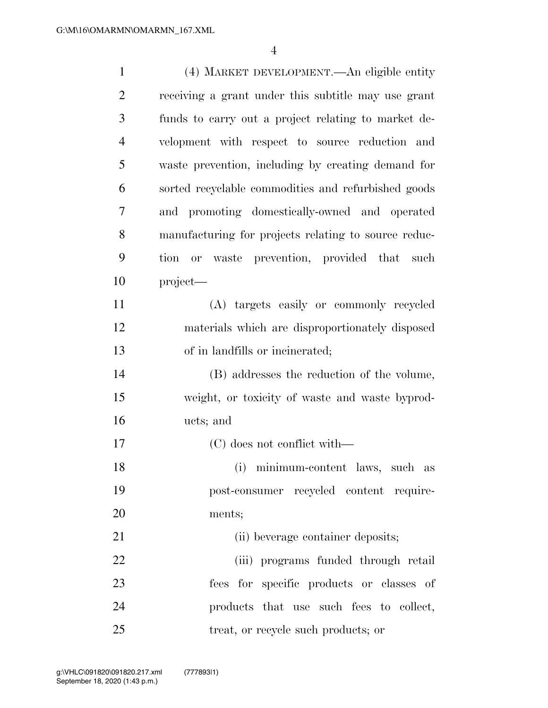| $\mathbf{1}$   | (4) MARKET DEVELOPMENT.—An eligible entity           |
|----------------|------------------------------------------------------|
| $\overline{2}$ | receiving a grant under this subtitle may use grant  |
| 3              | funds to carry out a project relating to market de-  |
| $\overline{4}$ | velopment with respect to source reduction and       |
| 5              | waste prevention, including by creating demand for   |
| 6              | sorted recyclable commodities and refurbished goods  |
| 7              | promoting domestically-owned and operated<br>and     |
| 8              | manufacturing for projects relating to source reduc- |
| 9              | tion or waste prevention, provided that such         |
| 10             | project—                                             |
| 11             | (A) targets easily or commonly recycled              |
| 12             | materials which are disproportionately disposed      |
| 13             | of in landfills or incinerated;                      |
| 14             | (B) addresses the reduction of the volume,           |
| 15             | weight, or toxicity of waste and waste byprod-       |
| 16             | ucts; and                                            |
| 17             | (C) does not conflict with—                          |
| 18             | (i) minimum-content laws, such as                    |
| 19             | post-consumer recycled content require-              |
| 20             | ments;                                               |
| 21             | (ii) beverage container deposits;                    |
| 22             | (iii) programs funded through retail                 |
| 23             | fees for specific products or classes of             |
| 24             | products that use such fees to collect,              |
| 25             | treat, or recycle such products; or                  |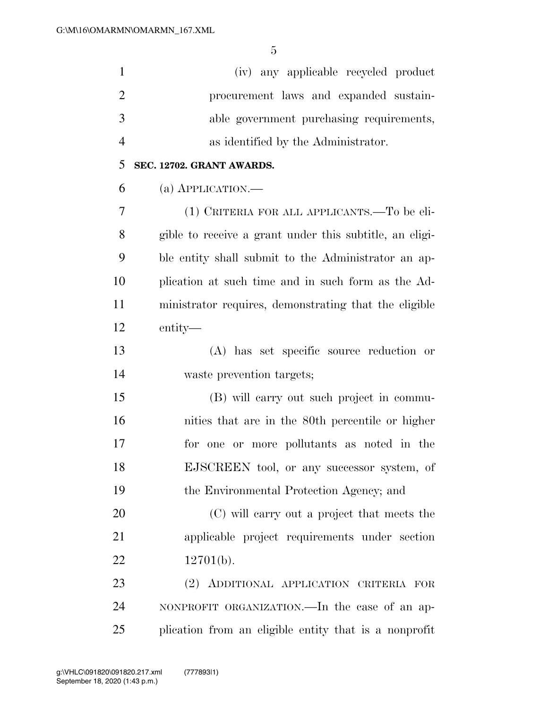| $\mathbf{1}$   | (iv) any applicable recycled product                    |
|----------------|---------------------------------------------------------|
| $\overline{2}$ | procurement laws and expanded sustain-                  |
| 3              | able government purchasing requirements,                |
| $\overline{4}$ | as identified by the Administrator.                     |
| 5              | SEC. 12702. GRANT AWARDS.                               |
| 6              | (a) $APPLICATION$ .                                     |
| 7              | (1) CRITERIA FOR ALL APPLICANTS.—To be eli-             |
| 8              | gible to receive a grant under this subtitle, an eligi- |
| 9              | ble entity shall submit to the Administrator an ap-     |
| 10             | plication at such time and in such form as the Ad-      |
| 11             | ministrator requires, demonstrating that the eligible   |
| 12             | entity—                                                 |
| 13             | (A) has set specific source reduction or                |
| 14             | waste prevention targets;                               |
| 15             | (B) will carry out such project in commu-               |
| 16             | nities that are in the 80th percentile or higher        |
| 17             | for one or more pollutants as noted in the              |
| 18             | EJSCREEN tool, or any successor system, of              |
| 19             | the Environmental Protection Agency; and                |
| 20             | (C) will carry out a project that meets the             |
| 21             | applicable project requirements under section           |
| 22             | $12701(b)$ .                                            |
| 23             | (2) ADDITIONAL APPLICATION CRITERIA FOR                 |
| 24             | NONPROFIT ORGANIZATION.—In the case of an ap-           |
| 25             | plication from an eligible entity that is a nonprofit   |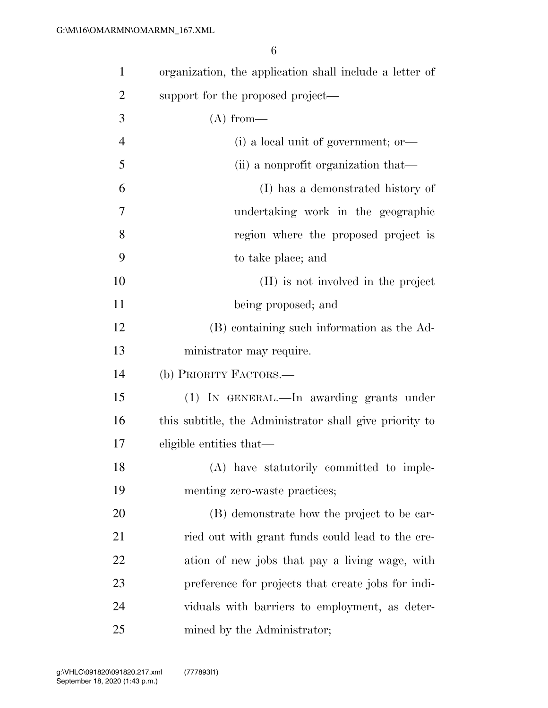| $\mathbf{1}$   | organization, the application shall include a letter of |
|----------------|---------------------------------------------------------|
| $\overline{2}$ | support for the proposed project—                       |
| 3              | (A) from—                                               |
| $\overline{4}$ | $(i)$ a local unit of government; or                    |
| 5              | (ii) a nonprofit organization that—                     |
| 6              | (I) has a demonstrated history of                       |
| 7              | undertaking work in the geographic                      |
| 8              | region where the proposed project is                    |
| 9              | to take place; and                                      |
| 10             | (II) is not involved in the project                     |
| 11             | being proposed; and                                     |
| 12             | (B) containing such information as the Ad-              |
| 13             | ministrator may require.                                |
| 14             | (b) PRIORITY FACTORS.—                                  |
| 15             | (1) IN GENERAL.—In awarding grants under                |
| 16             | this subtitle, the Administrator shall give priority to |
| 17             | eligible entities that—                                 |
| 18             | (A) have statutorily committed to imple-                |
| 19             | menting zero-waste practices;                           |
| 20             | (B) demonstrate how the project to be car-              |
| 21             | ried out with grant funds could lead to the cre-        |
| 22             | ation of new jobs that pay a living wage, with          |
| 23             | preference for projects that create jobs for indi-      |
| 24             | viduals with barriers to employment, as deter-          |
| 25             | mined by the Administrator;                             |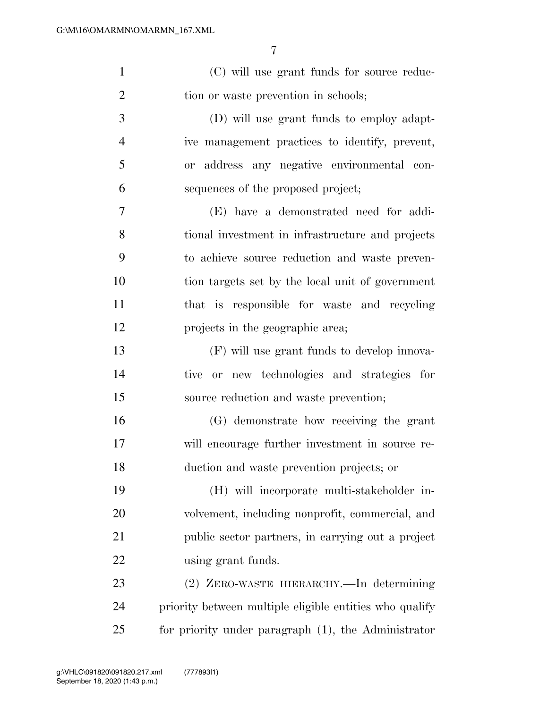| $\mathbf{1}$   | (C) will use grant funds for source reduc-              |
|----------------|---------------------------------------------------------|
| $\overline{2}$ | tion or waste prevention in schools;                    |
| 3              | (D) will use grant funds to employ adapt-               |
| $\overline{4}$ | ive management practices to identify, prevent,          |
| 5              | or address any negative environmental con-              |
| 6              | sequences of the proposed project;                      |
| $\overline{7}$ | (E) have a demonstrated need for addi-                  |
| 8              | tional investment in infrastructure and projects        |
| 9              | to achieve source reduction and waste preven-           |
| 10             | tion targets set by the local unit of government        |
| 11             | that is responsible for waste and recycling             |
| 12             | projects in the geographic area;                        |
| 13             | (F) will use grant funds to develop innova-             |
| 14             | tive or new technologies and strategies for             |
| 15             | source reduction and waste prevention;                  |
| 16             | (G) demonstrate how receiving the grant                 |
| 17             | will encourage further investment in source re-         |
| 18             | duction and waste prevention projects; or               |
| 19             | (H) will incorporate multi-stakeholder in-              |
| 20             | volvement, including nonprofit, commercial, and         |
| 21             | public sector partners, in carrying out a project       |
| 22             | using grant funds.                                      |
| 23             | (2) ZERO-WASTE HIERARCHY.—In determining                |
| 24             | priority between multiple eligible entities who qualify |
| 25             | for priority under paragraph (1), the Administrator     |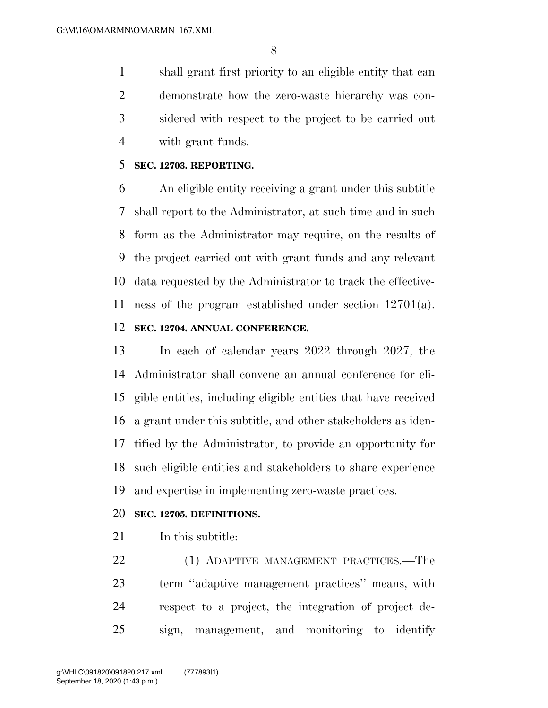shall grant first priority to an eligible entity that can demonstrate how the zero-waste hierarchy was con- sidered with respect to the project to be carried out with grant funds.

#### **SEC. 12703. REPORTING.**

 An eligible entity receiving a grant under this subtitle shall report to the Administrator, at such time and in such form as the Administrator may require, on the results of the project carried out with grant funds and any relevant data requested by the Administrator to track the effective-ness of the program established under section 12701(a).

### **SEC. 12704. ANNUAL CONFERENCE.**

 In each of calendar years 2022 through 2027, the Administrator shall convene an annual conference for eli- gible entities, including eligible entities that have received a grant under this subtitle, and other stakeholders as iden- tified by the Administrator, to provide an opportunity for such eligible entities and stakeholders to share experience and expertise in implementing zero-waste practices.

#### **SEC. 12705. DEFINITIONS.**

In this subtitle:

 (1) ADAPTIVE MANAGEMENT PRACTICES.—The term ''adaptive management practices'' means, with respect to a project, the integration of project de-sign, management, and monitoring to identify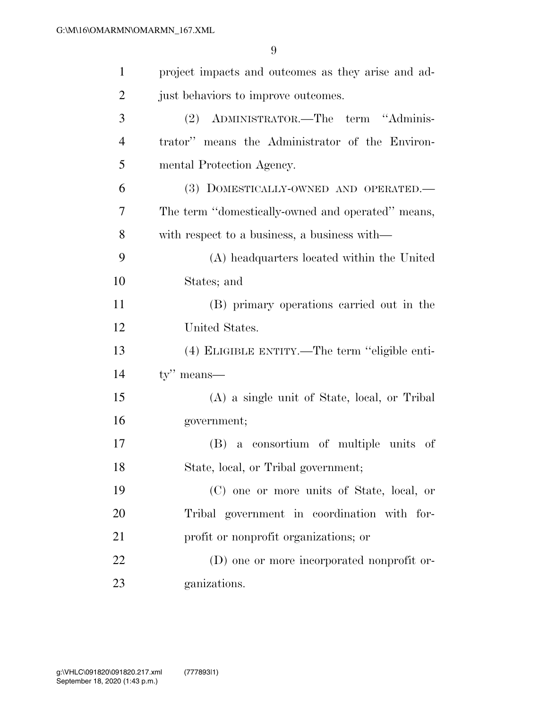| $\mathbf{1}$   | project impacts and outcomes as they arise and ad- |
|----------------|----------------------------------------------------|
| $\overline{2}$ | just behaviors to improve outcomes.                |
| 3              | (2) ADMINISTRATOR.—The term "Adminis-              |
| $\overline{4}$ | trator" means the Administrator of the Environ-    |
| 5              | mental Protection Agency.                          |
| 6              | (3) DOMESTICALLY-OWNED AND OPERATED.—              |
| 7              | The term "domestically-owned and operated" means,  |
| 8              | with respect to a business, a business with—       |
| 9              | (A) headquarters located within the United         |
| 10             | States; and                                        |
| 11             | (B) primary operations carried out in the          |
| 12             | United States.                                     |
| 13             | (4) ELIGIBLE ENTITY.—The term "eligible enti-      |
| 14             | $ty''$ means—                                      |
| 15             | (A) a single unit of State, local, or Tribal       |
| 16             | government;                                        |
| 17             | (B) a consortium of multiple units of              |
| 18             | State, local, or Tribal government;                |
| 19             | (C) one or more units of State, local, or          |
| 20             | Tribal government in coordination with for-        |
| 21             | profit or nonprofit organizations; or              |
| 22             | (D) one or more incorporated nonprofit or-         |
| 23             | ganizations.                                       |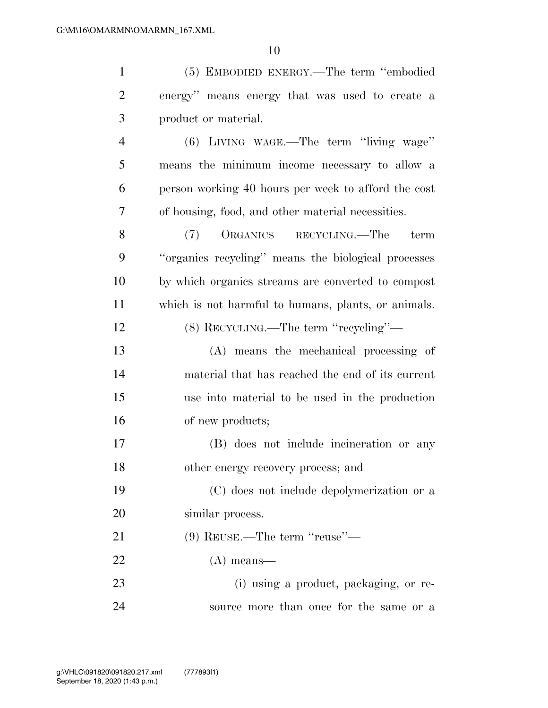| $\mathbf{1}$   | (5) EMBODIED ENERGY.—The term "embodied             |
|----------------|-----------------------------------------------------|
| $\overline{2}$ | energy" means energy that was used to create a      |
| 3              | product or material.                                |
| $\overline{4}$ | $(6)$ LIVING WAGE.—The term "living wage"           |
| 5              | means the minimum income necessary to allow a       |
| 6              | person working 40 hours per week to afford the cost |
| 7              | of housing, food, and other material necessities.   |
| 8              | ORGANICS RECYCLING.—The<br>(7)<br>term              |
| 9              | "organics recycling" means the biological processes |
| 10             | by which organics streams are converted to compost  |
| 11             | which is not harmful to humans, plants, or animals. |
| 12             | (8) RECYCLING.—The term "recycling"—                |
| 13             | (A) means the mechanical processing of              |
| 14             | material that has reached the end of its current    |
| 15             | use into material to be used in the production      |
| 16             | of new products;                                    |
| 17             | (B) does not include incineration or any            |
| 18             | other energy recovery process; and                  |
| 19             | (C) does not include depolymerization or a          |
| 20             | similar process.                                    |
| 21             | $(9)$ REUSE.—The term "reuse"—                      |
| 22             | $(A)$ means—                                        |
| 23             | (i) using a product, packaging, or re-              |
| 24             | source more than once for the same or a             |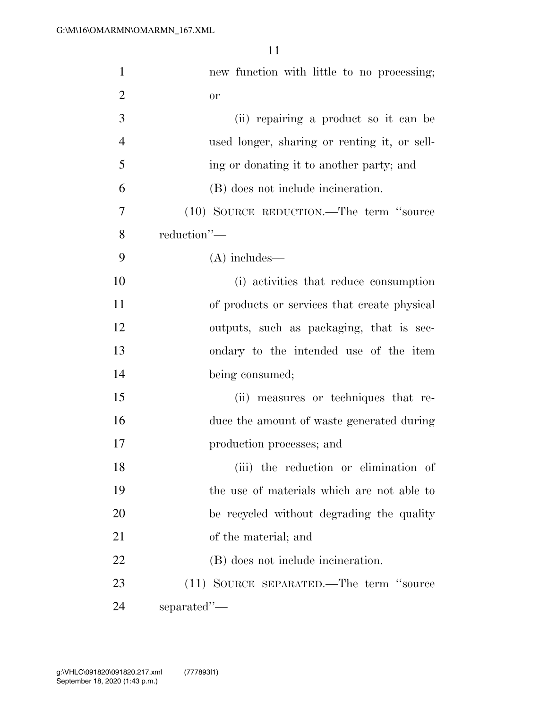| $\mathbf{1}$   | new function with little to no processing;   |
|----------------|----------------------------------------------|
| $\overline{2}$ | <b>or</b>                                    |
| 3              | (ii) repairing a product so it can be        |
| $\overline{4}$ | used longer, sharing or renting it, or sell- |
| 5              | ing or donating it to another party; and     |
| 6              | (B) does not include incineration.           |
| 7              | (10) SOURCE REDUCTION.—The term "source      |
| 8              | reduction"-                                  |
| 9              | $(A)$ includes—                              |
| 10             | (i) activities that reduce consumption       |
| 11             | of products or services that create physical |
| 12             | outputs, such as packaging, that is sec-     |
| 13             | ondary to the intended use of the item       |
| 14             | being consumed;                              |
| 15             | (ii) measures or techniques that re-         |
| 16             | duce the amount of waste generated during    |
| 17             | production processes; and                    |
| 18             | (iii) the reduction or elimination of        |
| 19             | the use of materials which are not able to   |
| 20             | be recycled without degrading the quality    |
| 21             | of the material; and                         |
| 22             | (B) does not include incineration.           |
| 23             | (11) SOURCE SEPARATED.—The term "source      |
| 24             | separated"-                                  |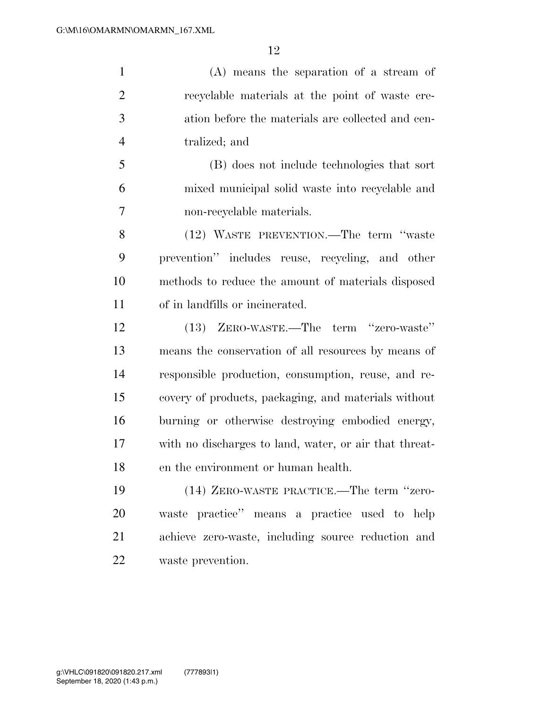(A) means the separation of a stream of recyclable materials at the point of waste cre- ation before the materials are collected and cen-tralized; and

 (B) does not include technologies that sort mixed municipal solid waste into recyclable and non-recyclable materials.

 (12) WASTE PREVENTION.—The term ''waste prevention'' includes reuse, recycling, and other methods to reduce the amount of materials disposed of in landfills or incinerated.

 (13) ZERO-WASTE.—The term ''zero-waste'' means the conservation of all resources by means of responsible production, consumption, reuse, and re- covery of products, packaging, and materials without burning or otherwise destroying embodied energy, with no discharges to land, water, or air that threat-en the environment or human health.

 (14) ZERO-WASTE PRACTICE.—The term ''zero- waste practice'' means a practice used to help achieve zero-waste, including source reduction and waste prevention.